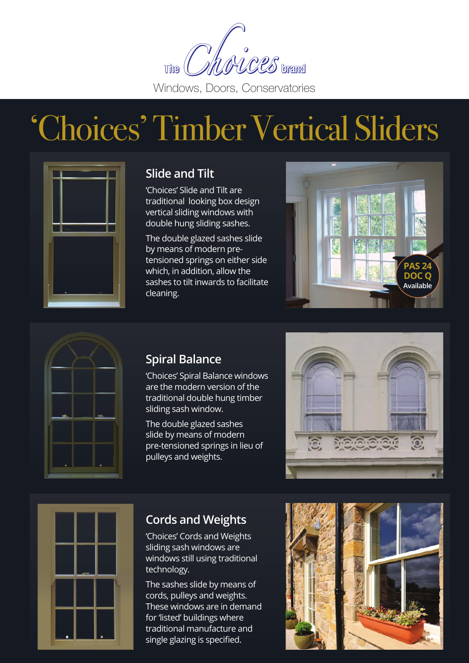

## 'Choices' Timber Vertical Sliders



## **Slide and Tilt**

'Choices' Slide and Tilt are traditional looking box design vertical sliding windows with double hung sliding sashes.

The double glazed sashes slide by means of modern pretensioned springs on either side which, in addition, allow the sashes to tilt inwards to facilitate cleaning.





## **Spiral Balance**

'Choices' Spiral Balance windows are the modern version of the traditional double hung timber sliding sash window.

The double glazed sashes slide by means of modern pre-tensioned springs in lieu of pulleys and weights.





## **Cords and Weights**

'Choices' Cords and Weights sliding sash windows are windows still using traditional technology.

The sashes slide by means of cords, pulleys and weights. These windows are in demand for 'listed' buildings where traditional manufacture and single glazing is specified.